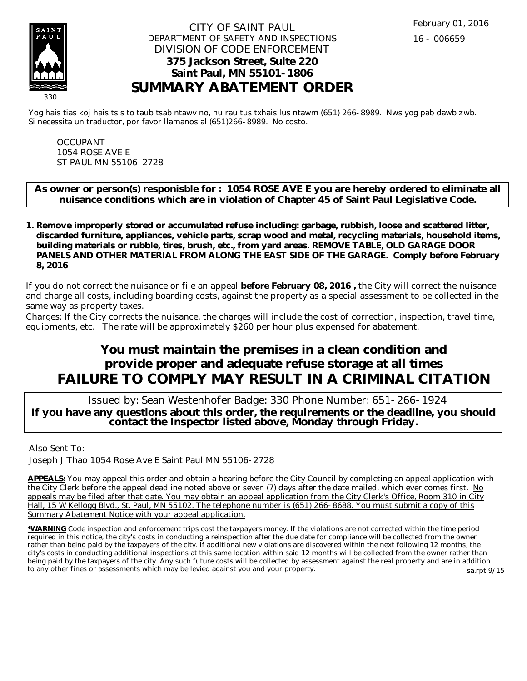

## CITY OF SAINT PAUL DEPARTMENT OF SAFETY AND INSPECTIONS DIVISION OF CODE ENFORCEMENT **375 Jackson Street, Suite 220 Saint Paul, MN 55101-1806 SUMMARY ABATEMENT ORDER**

Yog hais tias koj hais tsis to taub tsab ntawv no, hu rau tus txhais lus ntawm (651) 266-8989. Nws yog pab dawb zwb. Si necessita un traductor, por favor llamanos al (651)266-8989. No costo.

OCCUPANT 1054 ROSE AVE E ST PAUL MN 55106-2728

**As owner or person(s) responisble for : 1054 ROSE AVE E you are hereby ordered to eliminate all nuisance conditions which are in violation of Chapter 45 of Saint Paul Legislative Code.**

**Remove improperly stored or accumulated refuse including: garbage, rubbish, loose and scattered litter, 1. discarded furniture, appliances, vehicle parts, scrap wood and metal, recycling materials, household items, building materials or rubble, tires, brush, etc., from yard areas. REMOVE TABLE, OLD GARAGE DOOR PANELS AND OTHER MATERIAL FROM ALONG THE EAST SIDE OF THE GARAGE. Comply before February 8, 2016**

If you do not correct the nuisance or file an appeal **before February 08, 2016 ,** the City will correct the nuisance and charge all costs, including boarding costs, against the property as a special assessment to be collected in the same way as property taxes.

Charges: If the City corrects the nuisance, the charges will include the cost of correction, inspection, travel time, equipments, etc. The rate will be approximately \$260 per hour plus expensed for abatement.

## **You must maintain the premises in a clean condition and provide proper and adequate refuse storage at all times FAILURE TO COMPLY MAY RESULT IN A CRIMINAL CITATION**

 Issued by: Sean Westenhofer Badge: 330 Phone Number: 651-266-1924 **If you have any questions about this order, the requirements or the deadline, you should contact the Inspector listed above, Monday through Friday.**

Also Sent To:

Joseph J Thao 1054 Rose Ave E Saint Paul MN 55106-2728

**APPEALS:** You may appeal this order and obtain a hearing before the City Council by completing an appeal application with the City Clerk before the appeal deadline noted above or seven (7) days after the date mailed, which ever comes first. No appeals may be filed after that date. You may obtain an appeal application from the City Clerk's Office, Room 310 in City Hall, 15 W Kellogg Blvd., St. Paul, MN 55102. The telephone number is (651) 266-8688. You must submit a copy of this Summary Abatement Notice with your appeal application.

**\*WARNING** Code inspection and enforcement trips cost the taxpayers money. If the violations are not corrected within the time period required in this notice, the city's costs in conducting a reinspection after the due date for compliance will be collected from the owner rather than being paid by the taxpayers of the city. If additional new violations are discovered within the next following 12 months, the city's costs in conducting additional inspections at this same location within said 12 months will be collected from the owner rather than being paid by the taxpayers of the city. Any such future costs will be collected by assessment against the real property and are in addition to any other fines or assessments which may be levied against you and your property. sa.rpt 9/15